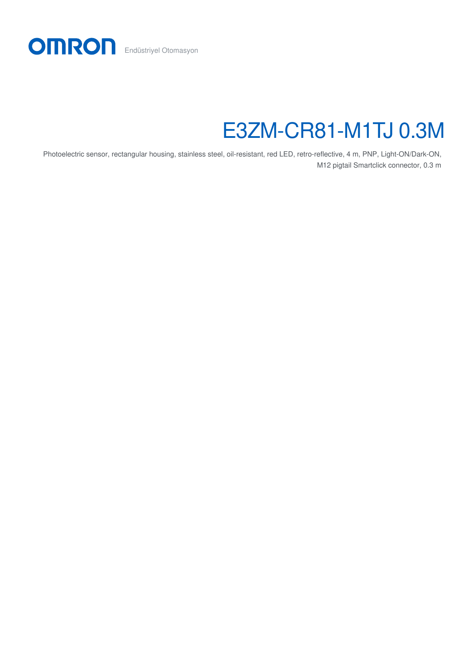

# E3ZM-CR81-M1TJ 0.3M

Photoelectric sensor, rectangular housing, stainless steel, oil-resistant, red LED, retro-reflective, 4 m, PNP, Light-ON/Dark-ON, M12 pigtail Smartclick connector, 0.3 m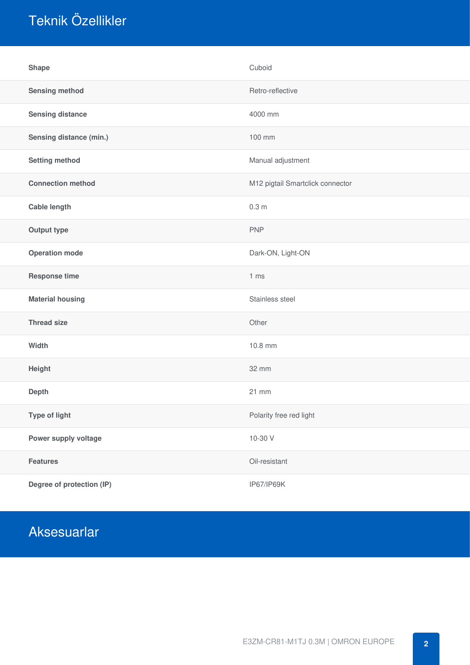## Teknik Özellikler

| <b>Shape</b>              | Cuboid                           |
|---------------------------|----------------------------------|
| <b>Sensing method</b>     | Retro-reflective                 |
| <b>Sensing distance</b>   | 4000 mm                          |
| Sensing distance (min.)   | 100 mm                           |
| <b>Setting method</b>     | Manual adjustment                |
| <b>Connection method</b>  | M12 pigtail Smartclick connector |
| <b>Cable length</b>       | 0.3 <sub>m</sub>                 |
| <b>Output type</b>        | <b>PNP</b>                       |
| <b>Operation mode</b>     | Dark-ON, Light-ON                |
| <b>Response time</b>      | 1 <sub>ms</sub>                  |
| <b>Material housing</b>   | Stainless steel                  |
| <b>Thread size</b>        | Other                            |
| Width                     | 10.8 mm                          |
| Height                    | 32 mm                            |
| Depth                     | 21 mm                            |
| Type of light             | Polarity free red light          |
| Power supply voltage      | 10-30 V                          |
| <b>Features</b>           | Oil-resistant                    |
| Degree of protection (IP) | IP67/IP69K                       |

### Aksesuarlar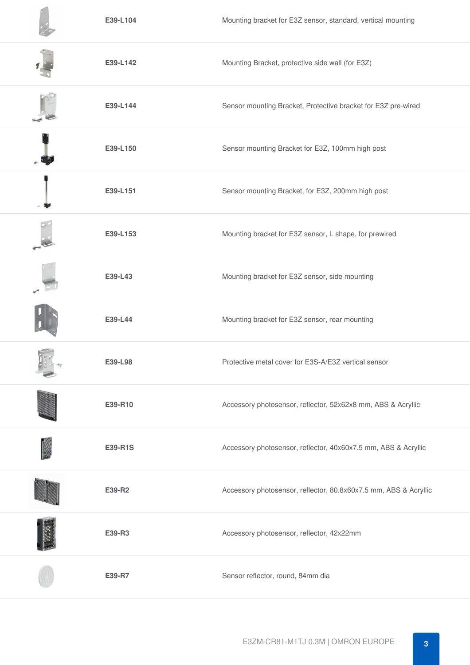| E39-L104 | Mounting bracket for E3Z sensor, standard, vertical mounting     |
|----------|------------------------------------------------------------------|
| E39-L142 | Mounting Bracket, protective side wall (for E3Z)                 |
| E39-L144 | Sensor mounting Bracket, Protective bracket for E3Z pre-wired    |
| E39-L150 | Sensor mounting Bracket for E3Z, 100mm high post                 |
| E39-L151 | Sensor mounting Bracket, for E3Z, 200mm high post                |
| E39-L153 | Mounting bracket for E3Z sensor, L shape, for prewired           |
| E39-L43  | Mounting bracket for E3Z sensor, side mounting                   |
| E39-L44  | Mounting bracket for E3Z sensor, rear mounting                   |
| E39-L98  | Protective metal cover for E3S-A/E3Z vertical sensor             |
| E39-R10  | Accessory photosensor, reflector, 52x62x8 mm, ABS & Acryllic     |
| E39-R1S  | Accessory photosensor, reflector, 40x60x7.5 mm, ABS & Acryllic   |
| E39-R2   | Accessory photosensor, reflector, 80.8x60x7.5 mm, ABS & Acryllic |
| E39-R3   | Accessory photosensor, reflector, 42x22mm                        |
| E39-R7   | Sensor reflector, round, 84mm dia                                |